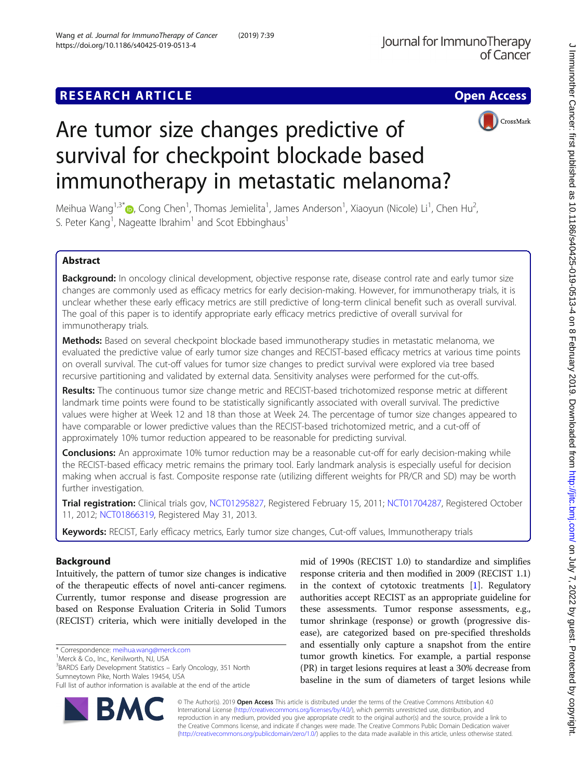# **RESEARCH ARTICLE Example 2014 12:30 The Contract of Contract ACCESS**





# Are tumor size changes predictive of survival for checkpoint blockade based immunotherapy in metastatic melanoma?

Meihua Wang<sup>1[,](http://orcid.org/0000-0002-0115-1041)3\*</sup> $\bullet$ , Cong Chen<sup>1</sup>, Thomas Jemielita<sup>1</sup>, James Anderson<sup>1</sup>, Xiaoyun (Nicole) Li<sup>1</sup>, Chen Hu<sup>2</sup> , S. Peter Kang<sup>1</sup>, Nageatte Ibrahim<sup>1</sup> and Scot Ebbinghaus<sup>1</sup>

# Abstract

Background: In oncology clinical development, objective response rate, disease control rate and early tumor size changes are commonly used as efficacy metrics for early decision-making. However, for immunotherapy trials, it is unclear whether these early efficacy metrics are still predictive of long-term clinical benefit such as overall survival. The goal of this paper is to identify appropriate early efficacy metrics predictive of overall survival for immunotherapy trials.

Methods: Based on several checkpoint blockade based immunotherapy studies in metastatic melanoma, we evaluated the predictive value of early tumor size changes and RECIST-based efficacy metrics at various time points on overall survival. The cut-off values for tumor size changes to predict survival were explored via tree based recursive partitioning and validated by external data. Sensitivity analyses were performed for the cut-offs.

Results: The continuous tumor size change metric and RECIST-based trichotomized response metric at different landmark time points were found to be statistically significantly associated with overall survival. The predictive values were higher at Week 12 and 18 than those at Week 24. The percentage of tumor size changes appeared to have comparable or lower predictive values than the RECIST-based trichotomized metric, and a cut-off of approximately 10% tumor reduction appeared to be reasonable for predicting survival.

**Conclusions:** An approximate 10% tumor reduction may be a reasonable cut-off for early decision-making while the RECIST-based efficacy metric remains the primary tool. Early landmark analysis is especially useful for decision making when accrual is fast. Composite response rate (utilizing different weights for PR/CR and SD) may be worth further investigation.

Trial registration: Clinical trials gov, [NCT01295827,](https://clinicaltrials.gov/ct2/show/NCT01295827) Registered February 15, 2011; [NCT01704287](https://clinicaltrials.gov/ct2/show/NCT01704287), Registered October 11, 2012; [NCT01866319](https://clinicaltrials.gov/ct2/show/NCT01866319), Registered May 31, 2013.

Keywords: RECIST, Early efficacy metrics, Early tumor size changes, Cut-off values, Immunotherapy trials

# Background

Intuitively, the pattern of tumor size changes is indicative of the therapeutic effects of novel anti-cancer regimens. Currently, tumor response and disease progression are based on Response Evaluation Criteria in Solid Tumors (RECIST) criteria, which were initially developed in the

\* Correspondence: [meihua.wang@merck.com](mailto:meihua.wang@merck.com) <sup>1</sup>

<sup>1</sup>Merck & Co., Inc., Kenilworth, NJ, USA

<sup>3</sup>BARDS Early Development Statistics - Early Oncology, 351 North Sumneytown Pike, North Wales 19454, USA

Full list of author information is available at the end of the article



mid of 1990s (RECIST 1.0) to standardize and simplifies response criteria and then modified in 2009 (RECIST 1.1) in the context of cytotoxic treatments [[1\]](#page-8-0). Regulatory authorities accept RECIST as an appropriate guideline for these assessments. Tumor response assessments, e.g., tumor shrinkage (response) or growth (progressive disease), are categorized based on pre-specified thresholds and essentially only capture a snapshot from the entire tumor growth kinetics. For example, a partial response (PR) in target lesions requires at least a 30% decrease from baseline in the sum of diameters of target lesions while

© The Author(s). 2019 Open Access This article is distributed under the terms of the Creative Commons Attribution 4.0 International License [\(http://creativecommons.org/licenses/by/4.0/](http://creativecommons.org/licenses/by/4.0/)), which permits unrestricted use, distribution, and reproduction in any medium, provided you give appropriate credit to the original author(s) and the source, provide a link to the Creative Commons license, and indicate if changes were made. The Creative Commons Public Domain Dedication waiver [\(http://creativecommons.org/publicdomain/zero/1.0/](http://creativecommons.org/publicdomain/zero/1.0/)) applies to the data made available in this article, unless otherwise stated.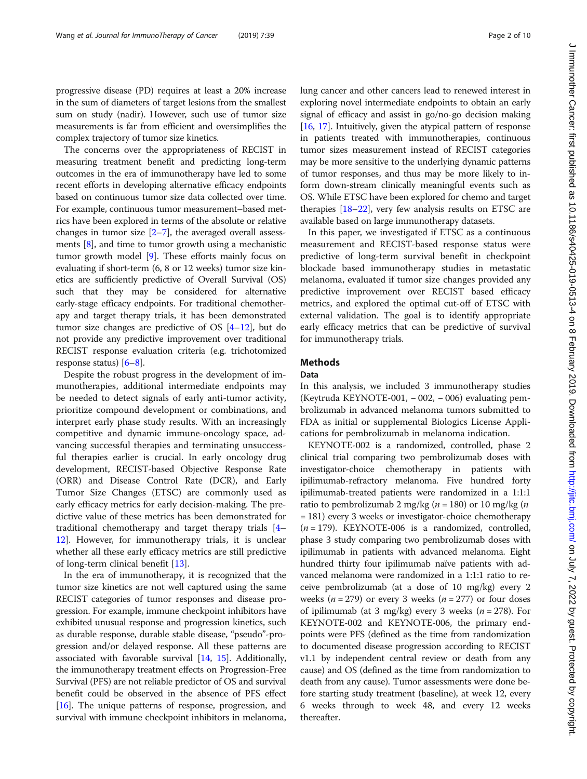progressive disease (PD) requires at least a 20% increase in the sum of diameters of target lesions from the smallest sum on study (nadir). However, such use of tumor size measurements is far from efficient and oversimplifies the complex trajectory of tumor size kinetics.

The concerns over the appropriateness of RECIST in measuring treatment benefit and predicting long-term outcomes in the era of immunotherapy have led to some recent efforts in developing alternative efficacy endpoints based on continuous tumor size data collected over time. For example, continuous tumor measurement–based metrics have been explored in terms of the absolute or relative changes in tumor size  $[2-7]$  $[2-7]$  $[2-7]$  $[2-7]$  $[2-7]$ , the averaged overall assessments [[8](#page-8-0)], and time to tumor growth using a mechanistic tumor growth model [\[9\]](#page-8-0). These efforts mainly focus on evaluating if short-term (6, 8 or 12 weeks) tumor size kinetics are sufficiently predictive of Overall Survival (OS) such that they may be considered for alternative early-stage efficacy endpoints. For traditional chemotherapy and target therapy trials, it has been demonstrated tumor size changes are predictive of OS [\[4](#page-8-0)–[12](#page-8-0)], but do not provide any predictive improvement over traditional RECIST response evaluation criteria (e.g. trichotomized response status) [\[6](#page-8-0)–[8\]](#page-8-0).

Despite the robust progress in the development of immunotherapies, additional intermediate endpoints may be needed to detect signals of early anti-tumor activity, prioritize compound development or combinations, and interpret early phase study results. With an increasingly competitive and dynamic immune-oncology space, advancing successful therapies and terminating unsuccessful therapies earlier is crucial. In early oncology drug development, RECIST-based Objective Response Rate (ORR) and Disease Control Rate (DCR), and Early Tumor Size Changes (ETSC) are commonly used as early efficacy metrics for early decision-making. The predictive value of these metrics has been demonstrated for traditional chemotherapy and target therapy trials [[4](#page-8-0)– [12\]](#page-8-0). However, for immunotherapy trials, it is unclear whether all these early efficacy metrics are still predictive of long-term clinical benefit [\[13\]](#page-8-0).

In the era of immunotherapy, it is recognized that the tumor size kinetics are not well captured using the same RECIST categories of tumor responses and disease progression. For example, immune checkpoint inhibitors have exhibited unusual response and progression kinetics, such as durable response, durable stable disease, "pseudo"-progression and/or delayed response. All these patterns are associated with favorable survival [[14](#page-8-0), [15\]](#page-8-0). Additionally, the immunotherapy treatment effects on Progression-Free Survival (PFS) are not reliable predictor of OS and survival benefit could be observed in the absence of PFS effect [[16](#page-8-0)]. The unique patterns of response, progression, and survival with immune checkpoint inhibitors in melanoma, lung cancer and other cancers lead to renewed interest in exploring novel intermediate endpoints to obtain an early signal of efficacy and assist in go/no-go decision making [[16](#page-8-0), [17](#page-8-0)]. Intuitively, given the atypical pattern of response in patients treated with immunotherapies, continuous tumor sizes measurement instead of RECIST categories may be more sensitive to the underlying dynamic patterns of tumor responses, and thus may be more likely to inform down-stream clinically meaningful events such as OS. While ETSC have been explored for chemo and target therapies  $[18–22]$  $[18–22]$  $[18–22]$  $[18–22]$ , very few analysis results on ETSC are available based on large immunotherapy datasets.

In this paper, we investigated if ETSC as a continuous measurement and RECIST-based response status were predictive of long-term survival benefit in checkpoint blockade based immunotherapy studies in metastatic melanoma, evaluated if tumor size changes provided any predictive improvement over RECIST based efficacy metrics, and explored the optimal cut-off of ETSC with external validation. The goal is to identify appropriate early efficacy metrics that can be predictive of survival for immunotherapy trials.

# Methods

# Data

In this analysis, we included 3 immunotherapy studies (Keytruda KEYNOTE-001, − 002, − 006) evaluating pembrolizumab in advanced melanoma tumors submitted to FDA as initial or supplemental Biologics License Applications for pembrolizumab in melanoma indication.

KEYNOTE-002 is a randomized, controlled, phase 2 clinical trial comparing two pembrolizumab doses with investigator-choice chemotherapy in patients with ipilimumab-refractory melanoma. Five hundred forty ipilimumab-treated patients were randomized in a 1:1:1 ratio to pembrolizumab 2 mg/kg ( $n = 180$ ) or 10 mg/kg ( $n$ = 181) every 3 weeks or investigator-choice chemotherapy  $(n = 179)$ . KEYNOTE-006 is a randomized, controlled, phase 3 study comparing two pembrolizumab doses with ipilimumab in patients with advanced melanoma. Eight hundred thirty four ipilimumab naïve patients with advanced melanoma were randomized in a 1:1:1 ratio to receive pembrolizumab (at a dose of 10 mg/kg) every 2 weeks ( $n = 279$ ) or every 3 weeks ( $n = 277$ ) or four doses of ipilimumab (at 3 mg/kg) every 3 weeks ( $n = 278$ ). For KEYNOTE-002 and KEYNOTE-006, the primary endpoints were PFS (defined as the time from randomization to documented disease progression according to RECIST v1.1 by independent central review or death from any cause) and OS (defined as the time from randomization to death from any cause). Tumor assessments were done before starting study treatment (baseline), at week 12, every 6 weeks through to week 48, and every 12 weeks thereafter.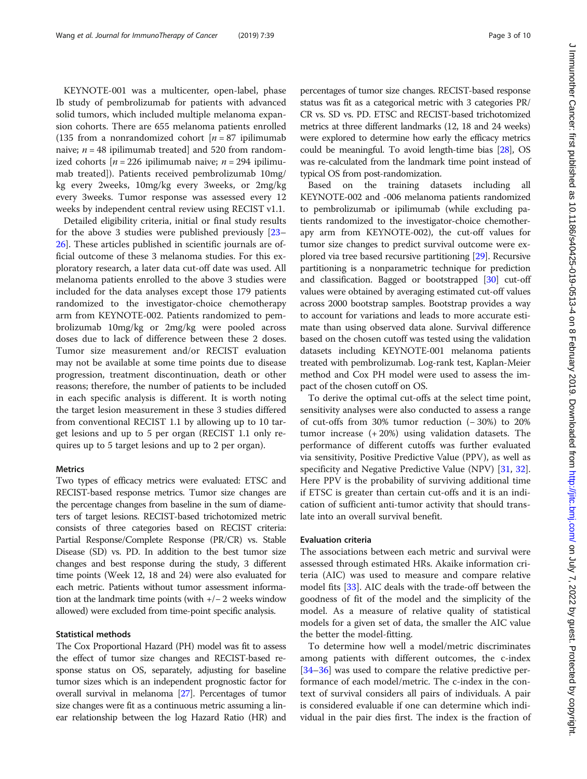KEYNOTE-001 was a multicenter, open-label, phase Ib study of pembrolizumab for patients with advanced solid tumors, which included multiple melanoma expansion cohorts. There are 655 melanoma patients enrolled (135 from a nonrandomized cohort  $[n = 87$  ipilimumab naive;  $n = 48$  ipilimumab treated] and 520 from randomized cohorts  $[n = 226$  ipilimumab naive;  $n = 294$  ipilimumab treated]). Patients received pembrolizumab 10mg/ kg every 2weeks, 10mg/kg every 3weeks, or 2mg/kg every 3weeks. Tumor response was assessed every 12 weeks by independent central review using RECIST v1.1.

Detailed eligibility criteria, initial or final study results for the above 3 studies were published previously [[23](#page-8-0)– [26\]](#page-8-0). These articles published in scientific journals are official outcome of these 3 melanoma studies. For this exploratory research, a later data cut-off date was used. All melanoma patients enrolled to the above 3 studies were included for the data analyses except those 179 patients randomized to the investigator-choice chemotherapy arm from KEYNOTE-002. Patients randomized to pembrolizumab 10mg/kg or 2mg/kg were pooled across doses due to lack of difference between these 2 doses. Tumor size measurement and/or RECIST evaluation may not be available at some time points due to disease progression, treatment discontinuation, death or other reasons; therefore, the number of patients to be included in each specific analysis is different. It is worth noting the target lesion measurement in these 3 studies differed from conventional RECIST 1.1 by allowing up to 10 target lesions and up to 5 per organ (RECIST 1.1 only requires up to 5 target lesions and up to 2 per organ).

#### Metrics

Two types of efficacy metrics were evaluated: ETSC and RECIST-based response metrics. Tumor size changes are the percentage changes from baseline in the sum of diameters of target lesions. RECIST-based trichotomized metric consists of three categories based on RECIST criteria: Partial Response/Complete Response (PR/CR) vs. Stable Disease (SD) vs. PD. In addition to the best tumor size changes and best response during the study, 3 different time points (Week 12, 18 and 24) were also evaluated for each metric. Patients without tumor assessment information at the landmark time points (with +/− 2 weeks window allowed) were excluded from time-point specific analysis.

## Statistical methods

The Cox Proportional Hazard (PH) model was fit to assess the effect of tumor size changes and RECIST-based response status on OS, separately, adjusting for baseline tumor sizes which is an independent prognostic factor for overall survival in melanoma [\[27\]](#page-8-0). Percentages of tumor size changes were fit as a continuous metric assuming a linear relationship between the log Hazard Ratio (HR) and percentages of tumor size changes. RECIST-based response status was fit as a categorical metric with 3 categories PR/ CR vs. SD vs. PD. ETSC and RECIST-based trichotomized metrics at three different landmarks (12, 18 and 24 weeks) were explored to determine how early the efficacy metrics could be meaningful. To avoid length-time bias [\[28\]](#page-8-0), OS was re-calculated from the landmark time point instead of typical OS from post-randomization.

Based on the training datasets including all KEYNOTE-002 and -006 melanoma patients randomized to pembrolizumab or ipilimumab (while excluding patients randomized to the investigator-choice chemotherapy arm from KEYNOTE-002), the cut-off values for tumor size changes to predict survival outcome were explored via tree based recursive partitioning [[29](#page-8-0)]. Recursive partitioning is a nonparametric technique for prediction and classification. Bagged or bootstrapped [[30](#page-8-0)] cut-off values were obtained by averaging estimated cut-off values across 2000 bootstrap samples. Bootstrap provides a way to account for variations and leads to more accurate estimate than using observed data alone. Survival difference based on the chosen cutoff was tested using the validation datasets including KEYNOTE-001 melanoma patients treated with pembrolizumab. Log-rank test, Kaplan-Meier method and Cox PH model were used to assess the impact of the chosen cutoff on OS.

To derive the optimal cut-offs at the select time point, sensitivity analyses were also conducted to assess a range of cut-offs from 30% tumor reduction (− 30%) to 20% tumor increase (+ 20%) using validation datasets. The performance of different cutoffs was further evaluated via sensitivity, Positive Predictive Value (PPV), as well as specificity and Negative Predictive Value (NPV) [\[31,](#page-8-0) [32](#page-9-0)]. Here PPV is the probability of surviving additional time if ETSC is greater than certain cut-offs and it is an indication of sufficient anti-tumor activity that should translate into an overall survival benefit.

### Evaluation criteria

The associations between each metric and survival were assessed through estimated HRs. Akaike information criteria (AIC) was used to measure and compare relative model fits [[33\]](#page-9-0). AIC deals with the trade-off between the goodness of fit of the model and the simplicity of the model. As a measure of relative quality of statistical models for a given set of data, the smaller the AIC value the better the model-fitting.

To determine how well a model/metric discriminates among patients with different outcomes, the c-index [[34](#page-9-0)–[36](#page-9-0)] was used to compare the relative predictive performance of each model/metric. The c-index in the context of survival considers all pairs of individuals. A pair is considered evaluable if one can determine which individual in the pair dies first. The index is the fraction of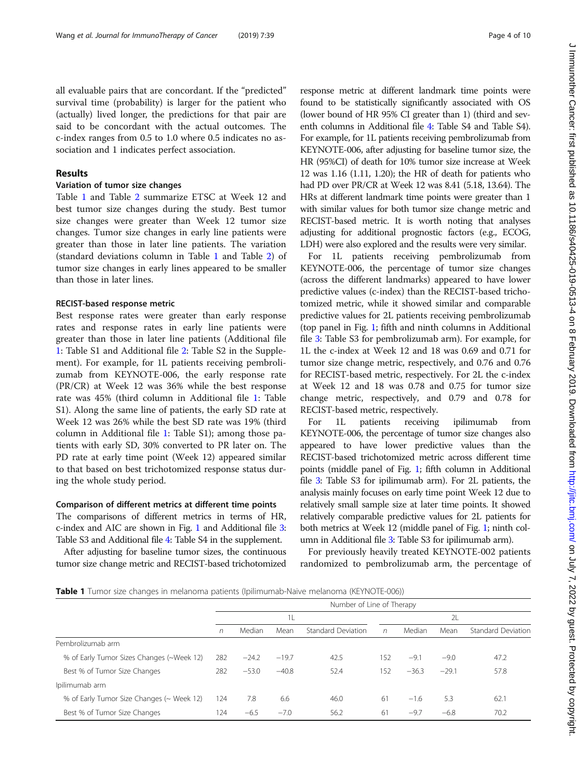all evaluable pairs that are concordant. If the "predicted" survival time (probability) is larger for the patient who (actually) lived longer, the predictions for that pair are said to be concordant with the actual outcomes. The c-index ranges from 0.5 to 1.0 where 0.5 indicates no association and 1 indicates perfect association.

# Results

## Variation of tumor size changes

Table 1 and Table [2](#page-4-0) summarize ETSC at Week 12 and best tumor size changes during the study. Best tumor size changes were greater than Week 12 tumor size changes. Tumor size changes in early line patients were greater than those in later line patients. The variation (standard deviations column in Table 1 and Table [2](#page-4-0)) of tumor size changes in early lines appeared to be smaller than those in later lines.

#### RECIST-based response metric

Best response rates were greater than early response rates and response rates in early line patients were greater than those in later line patients (Additional file [1:](#page-7-0) Table S1 and Additional file [2](#page-7-0): Table S2 in the Supplement). For example, for 1L patients receiving pembrolizumab from KEYNOTE-006, the early response rate (PR/CR) at Week 12 was 36% while the best response rate was 45% (third column in Additional file [1:](#page-7-0) Table S1). Along the same line of patients, the early SD rate at Week 12 was 26% while the best SD rate was 19% (third column in Additional file [1](#page-7-0): Table S1); among those patients with early SD, 30% converted to PR later on. The PD rate at early time point (Week 12) appeared similar to that based on best trichotomized response status during the whole study period.

# Comparison of different metrics at different time points

The comparisons of different metrics in terms of HR, c-index and AIC are shown in Fig. [1](#page-4-0) and Additional file [3](#page-7-0): Table S3 and Additional file [4:](#page-7-0) Table S4 in the supplement.

After adjusting for baseline tumor sizes, the continuous tumor size change metric and RECIST-based trichotomized

response metric at different landmark time points were found to be statistically significantly associated with OS (lower bound of HR 95% CI greater than 1) (third and seventh columns in Additional file [4](#page-7-0): Table S4 and Table S4). For example, for 1L patients receiving pembrolizumab from KEYNOTE-006, after adjusting for baseline tumor size, the HR (95%CI) of death for 10% tumor size increase at Week 12 was 1.16 (1.11, 1.20); the HR of death for patients who had PD over PR/CR at Week 12 was 8.41 (5.18, 13.64). The HRs at different landmark time points were greater than 1 with similar values for both tumor size change metric and RECIST-based metric. It is worth noting that analyses adjusting for additional prognostic factors (e.g., ECOG, LDH) were also explored and the results were very similar.

For 1L patients receiving pembrolizumab from KEYNOTE-006, the percentage of tumor size changes (across the different landmarks) appeared to have lower predictive values (c-index) than the RECIST-based trichotomized metric, while it showed similar and comparable predictive values for 2L patients receiving pembrolizumab (top panel in Fig. [1](#page-4-0); fifth and ninth columns in Additional file [3:](#page-7-0) Table S3 for pembrolizumab arm). For example, for 1L the c-index at Week 12 and 18 was 0.69 and 0.71 for tumor size change metric, respectively, and 0.76 and 0.76 for RECIST-based metric, respectively. For 2L the c-index at Week 12 and 18 was 0.78 and 0.75 for tumor size change metric, respectively, and 0.79 and 0.78 for RECIST-based metric, respectively.

For 1L patients receiving ipilimumab from KEYNOTE-006, the percentage of tumor size changes also appeared to have lower predictive values than the RECIST-based trichotomized metric across different time points (middle panel of Fig. [1;](#page-4-0) fifth column in Additional file [3](#page-7-0): Table S3 for ipilimumab arm). For 2L patients, the analysis mainly focuses on early time point Week 12 due to relatively small sample size at later time points. It showed relatively comparable predictive values for 2L patients for both metrics at Week 12 (middle panel of Fig. [1;](#page-4-0) ninth column in Additional file [3:](#page-7-0) Table S3 for ipilimumab arm).

For previously heavily treated KEYNOTE-002 patients randomized to pembrolizumab arm, the percentage of

Table 1 Tumor size changes in melanoma patients (Ipilimumab-Naive melanoma (KEYNOTE-006))

|                                           | Number of Line of Therapy |         |         |                    |     |         |         |                           |  |
|-------------------------------------------|---------------------------|---------|---------|--------------------|-----|---------|---------|---------------------------|--|
|                                           | 1L                        |         |         |                    | 2L  |         |         |                           |  |
|                                           | n                         | Median  | Mean    | Standard Deviation | n   | Median  | Mean    | <b>Standard Deviation</b> |  |
| Pembrolizumab arm                         |                           |         |         |                    |     |         |         |                           |  |
| % of Early Tumor Sizes Changes (~Week 12) | 282                       | $-24.2$ | $-19.7$ | 42.5               | 152 | $-9.1$  | $-9.0$  | 47.2                      |  |
| Best % of Tumor Size Changes              | 282                       | $-53.0$ | $-40.8$ | 52.4               | 152 | $-36.3$ | $-29.1$ | 57.8                      |  |
| Ipilimumab arm                            |                           |         |         |                    |     |         |         |                           |  |
| % of Early Tumor Size Changes (~ Week 12) | 124                       | 7.8     | 6.6     | 46.0               | -61 | $-1.6$  | 5.3     | 62.1                      |  |
| Best % of Tumor Size Changes              | 124                       | $-6.5$  | $-7.0$  | 56.2               | 61  | $-9.7$  | $-6.8$  | 70.2                      |  |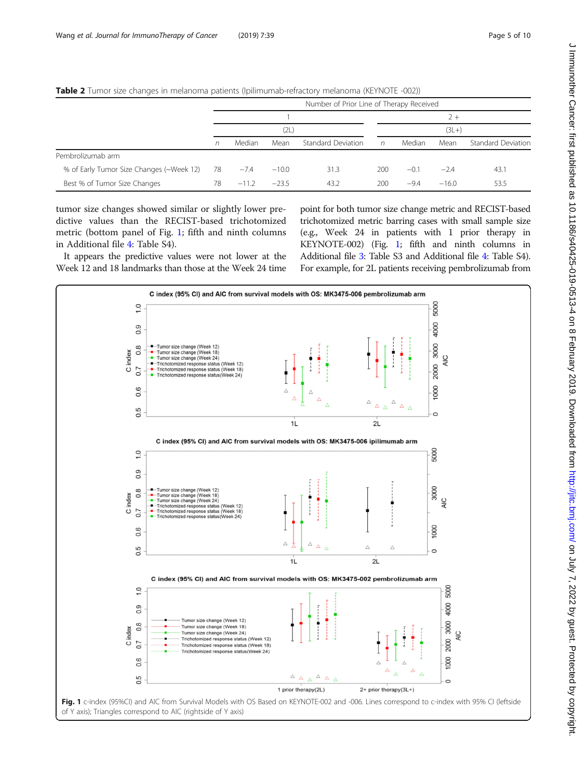<span id="page-4-0"></span>Table 2 Tumor size changes in melanoma patients (Ipilimumab-refractory melanoma (KEYNOTE -002))

|                                          | Number of Prior Line of Therapy Received |         |         |                           |                  |        |         |                           |
|------------------------------------------|------------------------------------------|---------|---------|---------------------------|------------------|--------|---------|---------------------------|
|                                          | (2L)                                     |         |         |                           | $2 +$<br>$(3L+)$ |        |         |                           |
|                                          |                                          |         |         |                           |                  |        |         |                           |
|                                          | n                                        | Median  | Mean    | <b>Standard Deviation</b> | n                | Median | Mean    | <b>Standard Deviation</b> |
| Pembrolizumab arm                        |                                          |         |         |                           |                  |        |         |                           |
| % of Early Tumor Size Changes (~Week 12) | 78                                       | $-7.4$  | $-10.0$ | 31.3                      | 200              | $-0.1$ | $-2.4$  | 43.1                      |
| Best % of Tumor Size Changes             | 78                                       | $-11.2$ | $-23.5$ | 43.2                      | 200              | $-9.4$ | $-16.0$ | 53.5                      |

tumor size changes showed similar or slightly lower predictive values than the RECIST-based trichotomized metric (bottom panel of Fig. 1; fifth and ninth columns in Additional file [4:](#page-7-0) Table S4).

point for both tumor size change metric and RECIST-based trichotomized metric barring cases with small sample size (e.g., Week 24 in patients with 1 prior therapy in KEYNOTE-002) (Fig. 1; fifth and ninth columns in Additional file [3](#page-7-0): Table S3 and Additional file [4](#page-7-0): Table S4). For example, for 2L patients receiving pembrolizumab from

It appears the predictive values were not lower at the Week 12 and 18 landmarks than those at the Week 24 time

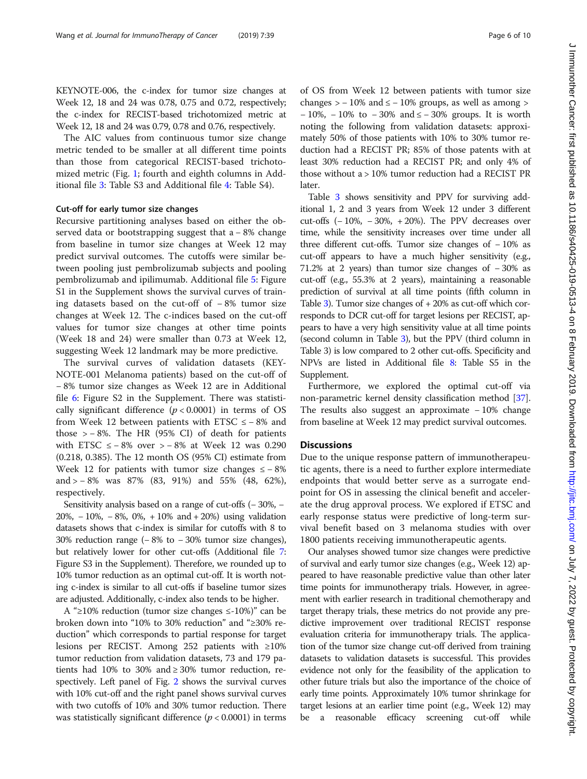KEYNOTE-006, the c-index for tumor size changes at Week 12, 18 and 24 was 0.78, 0.75 and 0.72, respectively; the c-index for RECIST-based trichotomized metric at Week 12, 18 and 24 was 0.79, 0.78 and 0.76, respectively.

The AIC values from continuous tumor size change metric tended to be smaller at all different time points than those from categorical RECIST-based trichotomized metric (Fig. [1;](#page-4-0) fourth and eighth columns in Additional file [3:](#page-7-0) Table S3 and Additional file [4:](#page-7-0) Table S4).

#### Cut-off for early tumor size changes

Recursive partitioning analyses based on either the observed data or bootstrapping suggest that a − 8% change from baseline in tumor size changes at Week 12 may predict survival outcomes. The cutoffs were similar between pooling just pembrolizumab subjects and pooling pembrolizumab and ipilimumab. Additional file [5:](#page-7-0) Figure S1 in the Supplement shows the survival curves of training datasets based on the cut-off of − 8% tumor size changes at Week 12. The c-indices based on the cut-off values for tumor size changes at other time points (Week 18 and 24) were smaller than 0.73 at Week 12, suggesting Week 12 landmark may be more predictive.

The survival curves of validation datasets (KEY-NOTE-001 Melanoma patients) based on the cut-off of − 8% tumor size changes as Week 12 are in Additional file [6](#page-7-0): Figure S2 in the Supplement. There was statistically significant difference  $(p < 0.0001)$  in terms of OS from Week 12 between patients with ETSC  $\le -8\%$  and those >  $-8\%$ . The HR (95% CI) of death for patients with ETSC  $\le -8\%$  over  $> -8\%$  at Week 12 was 0.290 (0.218, 0.385). The 12 month OS (95% CI) estimate from Week 12 for patients with tumor size changes  $\le -8\%$ and > − 8% was 87% (83, 91%) and 55% (48, 62%), respectively.

Sensitivity analysis based on a range of cut-offs (− 30%, − 20%, − 10%, − 8%, 0%, + 10% and + 20%) using validation datasets shows that c-index is similar for cutoffs with 8 to 30% reduction range (− 8% to − 30% tumor size changes), but relatively lower for other cut-offs (Additional file [7](#page-7-0): Figure S3 in the Supplement). Therefore, we rounded up to 10% tumor reduction as an optimal cut-off. It is worth noting c-index is similar to all cut-offs if baseline tumor sizes are adjusted. Additionally, c-index also tends to be higher.

A "≥10% reduction (tumor size changes ≤-10%)" can be broken down into "10% to 30% reduction" and "≥30% reduction" which corresponds to partial response for target lesions per RECIST. Among 252 patients with ≥10% tumor reduction from validation datasets, 73 and 179 patients had 10% to 30% and ≥ 30% tumor reduction, respectively. Left panel of Fig. [2](#page-6-0) shows the survival curves with 10% cut-off and the right panel shows survival curves with two cutoffs of 10% and 30% tumor reduction. There was statistically significant difference  $(p < 0.0001)$  in terms of OS from Week 12 between patients with tumor size changes  $> -10\%$  and  $\le -10\%$  groups, as well as among  $>$ − 10%, − 10% to − 30% and ≤ − 30% groups. It is worth noting the following from validation datasets: approximately 50% of those patients with 10% to 30% tumor reduction had a RECIST PR; 85% of those patents with at least 30% reduction had a RECIST PR; and only 4% of those without a > 10% tumor reduction had a RECIST PR later.

Table [3](#page-6-0) shows sensitivity and PPV for surviving additional 1, 2 and 3 years from Week 12 under 3 different cut-offs (− 10%, − 30%, + 20%). The PPV decreases over time, while the sensitivity increases over time under all three different cut-offs. Tumor size changes of − 10% as cut-off appears to have a much higher sensitivity (e.g., 71.2% at 2 years) than tumor size changes of − 30% as cut-off (e.g., 55.3% at 2 years), maintaining a reasonable prediction of survival at all time points (fifth column in Table [3](#page-6-0)). Tumor size changes of  $+20\%$  as cut-off which corresponds to DCR cut-off for target lesions per RECIST, appears to have a very high sensitivity value at all time points (second column in Table [3\)](#page-6-0), but the PPV (third column in Table 3) is low compared to 2 other cut-offs. Specificity and NPVs are listed in Additional file [8](#page-7-0): Table S5 in the Supplement.

Furthermore, we explored the optimal cut-off via non-parametric kernel density classification method [[37](#page-9-0)]. The results also suggest an approximate − 10% change from baseline at Week 12 may predict survival outcomes.

# **Discussions**

Due to the unique response pattern of immunotherapeutic agents, there is a need to further explore intermediate endpoints that would better serve as a surrogate endpoint for OS in assessing the clinical benefit and accelerate the drug approval process. We explored if ETSC and early response status were predictive of long-term survival benefit based on 3 melanoma studies with over 1800 patients receiving immunotherapeutic agents.

Our analyses showed tumor size changes were predictive of survival and early tumor size changes (e.g., Week 12) appeared to have reasonable predictive value than other later time points for immunotherapy trials. However, in agreement with earlier research in traditional chemotherapy and target therapy trials, these metrics do not provide any predictive improvement over traditional RECIST response evaluation criteria for immunotherapy trials. The application of the tumor size change cut-off derived from training datasets to validation datasets is successful. This provides evidence not only for the feasibility of the application to other future trials but also the importance of the choice of early time points. Approximately 10% tumor shrinkage for target lesions at an earlier time point (e.g., Week 12) may be a reasonable efficacy screening cut-off while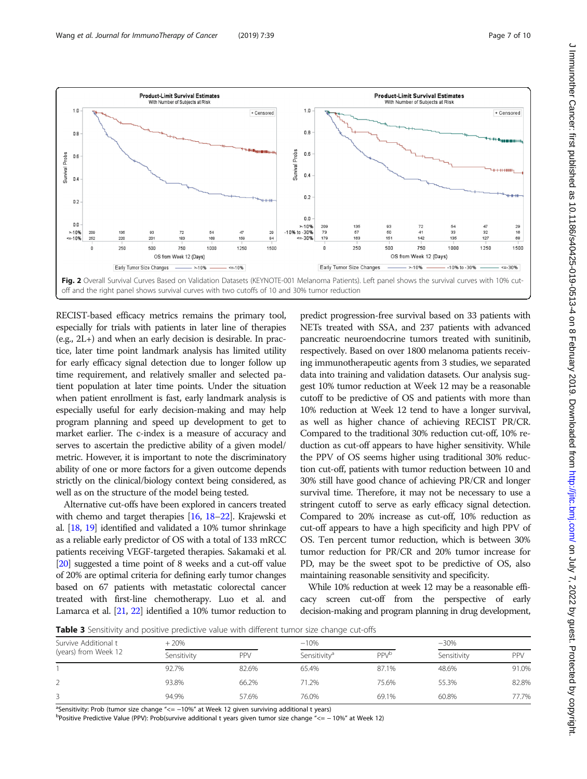<span id="page-6-0"></span>

RECIST-based efficacy metrics remains the primary tool, especially for trials with patients in later line of therapies (e.g., 2L+) and when an early decision is desirable. In practice, later time point landmark analysis has limited utility for early efficacy signal detection due to longer follow up time requirement, and relatively smaller and selected patient population at later time points. Under the situation when patient enrollment is fast, early landmark analysis is especially useful for early decision-making and may help program planning and speed up development to get to market earlier. The c-index is a measure of accuracy and serves to ascertain the predictive ability of a given model/ metric. However, it is important to note the discriminatory ability of one or more factors for a given outcome depends strictly on the clinical/biology context being considered, as well as on the structure of the model being tested.

Alternative cut-offs have been explored in cancers treated with chemo and target therapies [\[16,](#page-8-0) [18](#page-8-0)–[22](#page-8-0)]. Krajewski et al. [[18](#page-8-0), [19\]](#page-8-0) identified and validated a 10% tumor shrinkage as a reliable early predictor of OS with a total of 133 mRCC patients receiving VEGF-targeted therapies. Sakamaki et al. [[20](#page-8-0)] suggested a time point of 8 weeks and a cut-off value of 20% are optimal criteria for defining early tumor changes based on 67 patients with metastatic colorectal cancer treated with first-line chemotherapy. Luo et al. and Lamarca et al. [\[21,](#page-8-0) [22](#page-8-0)] identified a 10% tumor reduction to

predict progression-free survival based on 33 patients with NETs treated with SSA, and 237 patients with advanced pancreatic neuroendocrine tumors treated with sunitinib, respectively. Based on over 1800 melanoma patients receiving immunotherapeutic agents from 3 studies, we separated data into training and validation datasets. Our analysis suggest 10% tumor reduction at Week 12 may be a reasonable cutoff to be predictive of OS and patients with more than 10% reduction at Week 12 tend to have a longer survival, as well as higher chance of achieving RECIST PR/CR. Compared to the traditional 30% reduction cut-off, 10% reduction as cut-off appears to have higher sensitivity. While the PPV of OS seems higher using traditional 30% reduction cut-off, patients with tumor reduction between 10 and 30% still have good chance of achieving PR/CR and longer survival time. Therefore, it may not be necessary to use a stringent cutoff to serve as early efficacy signal detection. Compared to 20% increase as cut-off, 10% reduction as cut-off appears to have a high specificity and high PPV of OS. Ten percent tumor reduction, which is between 30% tumor reduction for PR/CR and 20% tumor increase for PD, may be the sweet spot to be predictive of OS, also maintaining reasonable sensitivity and specificity.

While 10% reduction at week 12 may be a reasonable efficacy screen cut-off from the perspective of early decision-making and program planning in drug development,

**Table 3** Sensitivity and positive predictive value with different tumor size change cut-offs

| .                                            |             |            |                          |                         |             |            |  |  |  |
|----------------------------------------------|-------------|------------|--------------------------|-------------------------|-------------|------------|--|--|--|
| Survive Additional t<br>(years) from Week 12 | $+20%$      |            | $-10%$                   |                         | $-30%$      |            |  |  |  |
|                                              | Sensitivity | <b>PPV</b> | Sensitivity <sup>a</sup> | <b>PPV</b> <sup>b</sup> | Sensitivity | <b>PPV</b> |  |  |  |
|                                              | 92.7%       | 82.6%      | 65.4%                    | 87.1%                   | 48.6%       | 91.0%      |  |  |  |
|                                              | 93.8%       | 66.2%      | 71.2%                    | 75.6%                   | 55.3%       | 82.8%      |  |  |  |
|                                              | 94.9%       | 57.6%      | 76.0%                    | 69.1%                   | 60.8%       | 77.7%      |  |  |  |

<sup>a</sup>Sensitivity: Prob (tumor size change "<= −10%" at Week 12 given surviving additional t years)<br>Poositive Predictive Value (PPV): Prob(survive additional t years given tumor size change "<= -

Positive Predictive Value (PPV): Prob(survive additional t years given tumor size change "<= − 10%" at Week 12)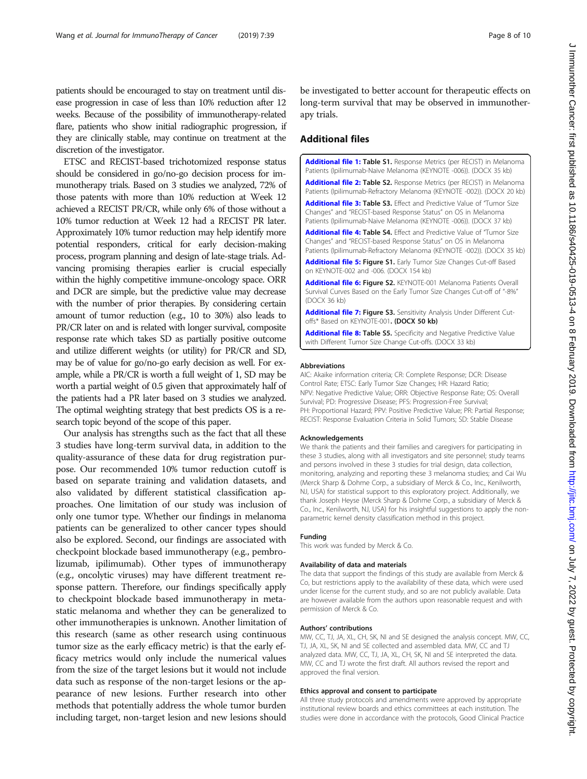be investigated to better account for therapeutic effects on long-term survival that may be observed in immunother-

# Additional files

apy trials.

[Additional file 1:](https://doi.org/10.1186/s40425-019-0513-4) Table S1. Response Metrics (per RECIST) in Melanoma Patients (Ipilimumab-Naive Melanoma (KEYNOTE -006)). (DOCX 35 kb)

[Additional file 2:](https://doi.org/10.1186/s40425-019-0513-4) Table S2. Response Metrics (per RECIST) in Melanoma Patients (Ipilimumab-Refractory Melanoma (KEYNOTE -002)). (DOCX 20 kb)

[Additional file 3:](https://doi.org/10.1186/s40425-019-0513-4) Table S3. Effect and Predictive Value of "Tumor Size Changes" and "RECIST-based Response Status" on OS in Melanoma Patients (Ipilimumab-Naive Melanoma (KEYNOTE -006)). (DOCX 37 kb)

[Additional file 4:](https://doi.org/10.1186/s40425-019-0513-4) Table S4. Effect and Predictive Value of "Tumor Size Changes" and "RECIST-based Response Status" on OS in Melanoma Patients (Ipilimumab-Refractory Melanoma (KEYNOTE -002)). (DOCX 35 kb)

[Additional file 5:](https://doi.org/10.1186/s40425-019-0513-4) Figure S1. Early Tumor Size Changes Cut-off Based on KEYNOTE-002 and -006. (DOCX 154 kb)

[Additional file 6:](https://doi.org/10.1186/s40425-019-0513-4) Figure S2. KEYNOTE-001 Melanoma Patients Overall Survival Curves Based on the Early Tumor Size Changes Cut-off of "-8%" (DOCX 36 kb)

[Additional file 7:](https://doi.org/10.1186/s40425-019-0513-4) Figure S3. Sensitivity Analysis Under Different Cutoffs\* Based on KEYNOTE-001. (DOCX 50 kb)

[Additional file 8:](https://doi.org/10.1186/s40425-019-0513-4) Table S5. Specificity and Negative Predictive Value with Different Tumor Size Change Cut-offs. (DOCX 33 kb)

#### Abbreviations

AIC: Akaike information criteria; CR: Complete Response; DCR: Disease Control Rate; ETSC: Early Tumor Size Changes; HR: Hazard Ratio; NPV: Negative Predictive Value; ORR: Objective Response Rate; OS: Overall Survival; PD: Progressive Disease; PFS: Progression-Free Survival; PH: Proportional Hazard; PPV: Positive Predictive Value; PR: Partial Response; RECIST: Response Evaluation Criteria in Solid Tumors; SD: Stable Disease

#### Acknowledgements

We thank the patients and their families and caregivers for participating in these 3 studies, along with all investigators and site personnel; study teams and persons involved in these 3 studies for trial design, data collection, monitoring, analyzing and reporting these 3 melanoma studies; and Cai Wu (Merck Sharp & Dohme Corp., a subsidiary of Merck & Co., Inc., Kenilworth, NJ, USA) for statistical support to this exploratory project. Additionally, we thank Joseph Heyse (Merck Sharp & Dohme Corp., a subsidiary of Merck & Co., Inc., Kenilworth, NJ, USA) for his insightful suggestions to apply the nonparametric kernel density classification method in this project.

#### Funding

This work was funded by Merck & Co.

#### Availability of data and materials

The data that support the findings of this study are available from Merck & Co, but restrictions apply to the availability of these data, which were used under license for the current study, and so are not publicly available. Data are however available from the authors upon reasonable request and with permission of Merck & Co.

#### Authors' contributions

MW, CC, TJ, JA, XL, CH, SK, NI and SE designed the analysis concept. MW, CC, TJ, JA, XL, SK, NI and SE collected and assembled data. MW, CC and TJ analyzed data. MW, CC, TJ, JA, XL, CH, SK, NI and SE interpreted the data. MW, CC and TJ wrote the first draft. All authors revised the report and approved the final version.

#### Ethics approval and consent to participate

All three study protocols and amendments were approved by appropriate institutional review boards and ethics committees at each institution. The studies were done in accordance with the protocols, Good Clinical Practice

<span id="page-7-0"></span>patients should be encouraged to stay on treatment until disease progression in case of less than 10% reduction after 12 weeks. Because of the possibility of immunotherapy-related flare, patients who show initial radiographic progression, if they are clinically stable, may continue on treatment at the discretion of the investigator.

ETSC and RECIST-based trichotomized response status should be considered in go/no-go decision process for immunotherapy trials. Based on 3 studies we analyzed, 72% of those patents with more than 10% reduction at Week 12 achieved a RECIST PR/CR, while only 6% of those without a 10% tumor reduction at Week 12 had a RECIST PR later. Approximately 10% tumor reduction may help identify more potential responders, critical for early decision-making process, program planning and design of late-stage trials. Advancing promising therapies earlier is crucial especially within the highly competitive immune-oncology space. ORR and DCR are simple, but the predictive value may decrease with the number of prior therapies. By considering certain amount of tumor reduction (e.g., 10 to 30%) also leads to PR/CR later on and is related with longer survival, composite response rate which takes SD as partially positive outcome and utilize different weights (or utility) for PR/CR and SD, may be of value for go/no-go early decision as well. For example, while a PR/CR is worth a full weight of 1, SD may be worth a partial weight of 0.5 given that approximately half of the patients had a PR later based on 3 studies we analyzed. The optimal weighting strategy that best predicts OS is a research topic beyond of the scope of this paper.

Our analysis has strengths such as the fact that all these 3 studies have long-term survival data, in addition to the quality-assurance of these data for drug registration purpose. Our recommended 10% tumor reduction cutoff is based on separate training and validation datasets, and also validated by different statistical classification approaches. One limitation of our study was inclusion of only one tumor type. Whether our findings in melanoma patients can be generalized to other cancer types should also be explored. Second, our findings are associated with checkpoint blockade based immunotherapy (e.g., pembrolizumab, ipilimumab). Other types of immunotherapy (e.g., oncolytic viruses) may have different treatment response pattern. Therefore, our findings specifically apply to checkpoint blockade based immunotherapy in metastatic melanoma and whether they can be generalized to other immunotherapies is unknown. Another limitation of this research (same as other research using continuous tumor size as the early efficacy metric) is that the early efficacy metrics would only include the numerical values from the size of the target lesions but it would not include data such as response of the non-target lesions or the appearance of new lesions. Further research into other methods that potentially address the whole tumor burden including target, non-target lesion and new lesions should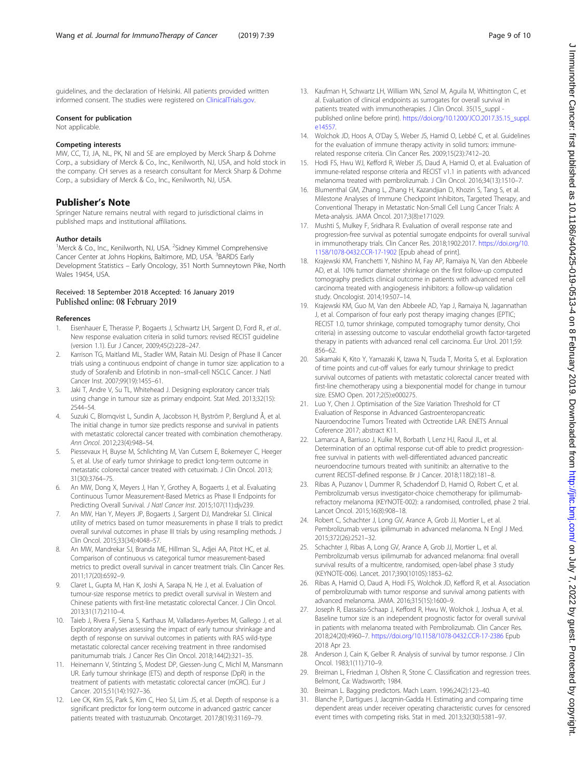<span id="page-8-0"></span>guidelines, and the declaration of Helsinki. All patients provided written informed consent. The studies were registered on [ClinicalTrials.gov](http://clinicaltrials.gov/).

#### Consent for publication

Not applicable.

#### Competing interests

MW, CC, TJ, JA, NL, PK, NI and SE are employed by Merck Sharp & Dohme Corp., a subsidiary of Merck & Co., Inc., Kenilworth, NJ, USA, and hold stock in the company. CH serves as a research consultant for Merck Sharp & Dohme Corp., a subsidiary of Merck & Co., Inc., Kenilworth, NJ, USA.

# Publisher's Note

Springer Nature remains neutral with regard to jurisdictional claims in published maps and institutional affiliations.

#### Author details

<sup>1</sup>Merck & Co., Inc., Kenilworth, NJ, USA. <sup>2</sup>Sidney Kimmel Comprehensive Cancer Center at Johns Hopkins, Baltimore, MD, USA. <sup>3</sup>BARDS Early Development Statistics – Early Oncology, 351 North Sumneytown Pike, North Wales 19454, USA

#### Received: 18 September 2018 Accepted: 16 January 2019 Published online: 08 February 2019

#### References

- 1. Eisenhauer E, Therasse P, Bogaerts J, Schwartz LH, Sargent D, Ford R., et al.. New response evaluation criteria in solid tumors: revised RECIST guideline (version 1.1). Eur J Cancer, 2009;45(2):228–247.
- 2. Karrison TG, Maitland ML, Stadler WM, Ratain MJ. Design of Phase II Cancer trials using a continuous endpoint of change in tumor size: application to a study of Sorafenib and Erlotinib in non–small-cell NSCLC Cancer. J Natl Cancer Inst. 2007;99(19):1455–61.
- Jaki T, Andre V, Su TL, Whitehead J. Designing exploratory cancer trials using change in tumour size as primary endpoint. Stat Med. 2013;32(15): 2544–54.
- 4. Suzuki C, Blomqvist L, Sundin A, Jacobsson H, Byström P, Berglund Å, et al. The initial change in tumor size predicts response and survival in patients with metastatic colorectal cancer treated with combination chemotherapy. Ann Oncol. 2012;23(4):948–54.
- 5. Piessevaux H, Buyse M, Schlichting M, Van Cutsem E, Bokemeyer C, Heeger S, et al. Use of early tumor shrinkage to predict long-term outcome in metastatic colorectal cancer treated with cetuximab. J Clin Oncol. 2013; 31(30):3764–75.
- 6. An MW, Dong X, Meyers J, Han Y, Grothey A, Bogaerts J, et al. Evaluating Continuous Tumor Measurement-Based Metrics as Phase II Endpoints for Predicting Overall Survival. J Natl Cancer Inst. 2015;107(11):djv239.
- 7. An MW, Han Y, Meyers JP, Bogaerts J, Sargent DJ, Mandrekar SJ. Clinical utility of metrics based on tumor measurements in phase II trials to predict overall survival outcomes in phase III trials by using resampling methods. J Clin Oncol. 2015;33(34):4048–57.
- 8. An MW, Mandrekar SJ, Branda ME, Hillman SL, Adjei AA, Pitot HC, et al. Comparison of continuous vs categorical tumor measurement-based metrics to predict overall survival in cancer treatment trials. Clin Cancer Res. 2011;17(20):6592–9.
- 9. Claret L, Gupta M, Han K, Joshi A, Sarapa N, He J, et al. Evaluation of tumour-size response metrics to predict overall survival in Western and Chinese patients with first-line metastatic colorectal Cancer. J Clin Oncol. 2013;31(17):2110–4.
- 10. Taieb J, Rivera F, Siena S, Karthaus M, Valladares-Ayerbes M, Gallego J, et al. Exploratory analyses assessing the impact of early tumour shrinkage and depth of response on survival outcomes in patients with RAS wild-type metastatic colorectal cancer receiving treatment in three randomised panitumumab trials. J Cancer Res Clin Oncol. 2018;144(2):321–35.
- 11. Heinemann V, Stintzing S, Modest DP, Giessen-Jung C, Michl M, Mansmann UR. Early tumour shrinkage (ETS) and depth of response (DpR) in the treatment of patients with metastatic colorectal cancer (mCRC). Eur J Cancer. 2015;51(14):1927–36.
- 12. Lee CK, Kim SS, Park S, Kim C, Heo SJ, Lim JS, et al. Depth of response is a significant predictor for long-term outcome in advanced gastric cancer patients treated with trastuzumab. Oncotarget. 2017;8(19):31169–79.
- 13. Kaufman H, Schwartz LH, William WN, Sznol M, Aguila M, Whittington C, et al. Evaluation of clinical endpoints as surrogates for overall survival in patients treated with immunotherapies. J Clin Oncol. 35(15\_suppl published online before print). [https://doi.org/10.1200/JCO.2017.35.15\\_suppl.](https://doi.org/10.1200/JCO.2017.35.15_suppl.e14557) [e14557](https://doi.org/10.1200/JCO.2017.35.15_suppl.e14557).
- 14. Wolchok JD, Hoos A, O'Day S, Weber JS, Hamid O, Lebbé C, et al. Guidelines for the evaluation of immune therapy activity in solid tumors: immunerelated response criteria. Clin Cancer Res. 2009;15(23):7412–20.
- 15. Hodi FS, Hwu WJ, Kefford R, Weber JS, Daud A, Hamid O, et al. Evaluation of immune-related response criteria and RECIST v1.1 in patients with advanced melanoma treated with pembrolizumab. J Clin Oncol. 2016;34(13):1510–7.
- 16. Blumenthal GM, Zhang L, Zhang H, Kazandjian D, Khozin S, Tang S, et al. Milestone Analyses of Immune Checkpoint Inhibitors, Targeted Therapy, and Conventional Therapy in Metastatic Non-Small Cell Lung Cancer Trials: A Meta-analysis. JAMA Oncol. 2017;3(8):e171029.
- 17. Mushti S, Mulkey F, Sridhara R. Evaluation of overall response rate and progression-free survival as potential surrogate endpoints for overall survival in immunotherapy trials. Clin Cancer Res. 2018;1902:2017. [https://doi.org/10.](https://doi.org/10.1158/1078-0432.CCR-17-1902) [1158/1078-0432.CCR-17-1902](https://doi.org/10.1158/1078-0432.CCR-17-1902) [Epub ahead of print].
- 18. Krajewski KM, Franchetti Y, Nishino M, Fay AP, Ramaiya N, Van den Abbeele AD, et al. 10% tumor diameter shrinkage on the first follow-up computed tomography predicts clinical outcome in patients with advanced renal cell carcinoma treated with angiogenesis inhibitors: a follow-up validation study. Oncologist. 2014;19:507–14.
- 19. Krajewski KM, Guo M, Van den Abbeele AD, Yap J, Ramaiya N, Jagannathan J, et al. Comparison of four early post therapy imaging changes (EPTIC; RECIST 1.0, tumor shrinkage, computed tomography tumor density, Choi criteria) in assessing outcome to vascular endothelial growth factor-targeted therapy in patients with advanced renal cell carcinoma. Eur Urol. 2011;59: 856–62.
- 20. Sakamaki K, Kito Y, Yamazaki K, Izawa N, Tsuda T, Morita S, et al. Exploration of time points and cut-off values for early tumour shrinkage to predict survival outcomes of patients with metastatic colorectal cancer treated with first-line chemotherapy using a biexponential model for change in tumour size. ESMO Open. 2017;2(5):e000275.
- 21. Luo Y, Chen J. Optimisation of the Size Variation Threshold for CT Evaluation of Response in Advanced Gastroenteropancreatic Nauroendocrine Tumors Treated with Octreotide LAR. ENETS Annual Coference 2017; abstract K11.
- 22. Lamarca A, Barriuso J, Kulke M, Borbath I, Lenz HJ, Raoul JL, et al. Determination of an optimal response cut-off able to predict progressionfree survival in patients with well-differentiated advanced pancreatic neuroendocrine tumours treated with sunitinib: an alternative to the current RECIST-defined response. Br J Cancer. 2018;118(2):181–8.
- 23. Ribas A, Puzanov I, Dummer R, Schadendorf D, Hamid O, Robert C, et al. Pembrolizumab versus investigator-choice chemotherapy for ipilimumabrefractory melanoma (KEYNOTE-002): a randomised, controlled, phase 2 trial. Lancet Oncol. 2015;16(8):908–18.
- 24. Robert C, Schachter J, Long GV, Arance A, Grob JJ, Mortier L, et al. Pembrolizumab versus ipilimumab in advanced melanoma. N Engl J Med. 2015;372(26):2521–32.
- 25. Schachter J, Ribas A, Long GV, Arance A, Grob JJ, Mortier L, et al. Pembrolizumab versus ipilimumab for advanced melanoma: final overall survival results of a multicentre, randomised, open-label phase 3 study (KEYNOTE-006). Lancet. 2017;390(10105):1853–62.
- 26. Ribas A, Hamid O, Daud A, Hodi FS, Wolchok JD, Kefford R, et al. Association of pembrolizumab with tumor response and survival among patients with advanced melanoma. JAMA. 2016;315(15):1600–9.
- 27. Joseph R, Elassaiss-Schaap J, Kefford R, Hwu W, Wolchok J, Joshua A, et al. Baseline tumor size is an independent prognostic factor for overall survival in patients with melanoma treated with Pembrolizumab. Clin Cancer Res. 2018;24(20):4960–7. <https://doi.org/10.1158/1078-0432.CCR-17-2386> Epub 2018 Apr 23.
- 28. Anderson J, Cain K, Gelber R. Analysis of survival by tumor response. J Clin Oncol. 1983;1(11):710–9.
- 29. Breiman L, Friedman J, Olshen R, Stone C. Classification and regression trees. Belmont, Ca: Wadsworth; 1984.
- 30. Breiman L. Bagging predictors. Mach Learn. 1996;24(2):123–40.
- 31. Blanche P, Dartigues J, Jacqmin-Gadda H. Estimating and comparing time dependent areas under receiver operating characteristic curves for censored event times with competing risks. Stat in med. 2013;32(30):5381–97.